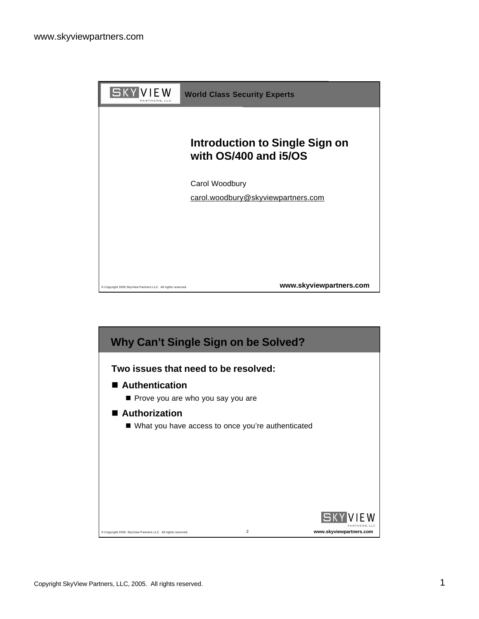

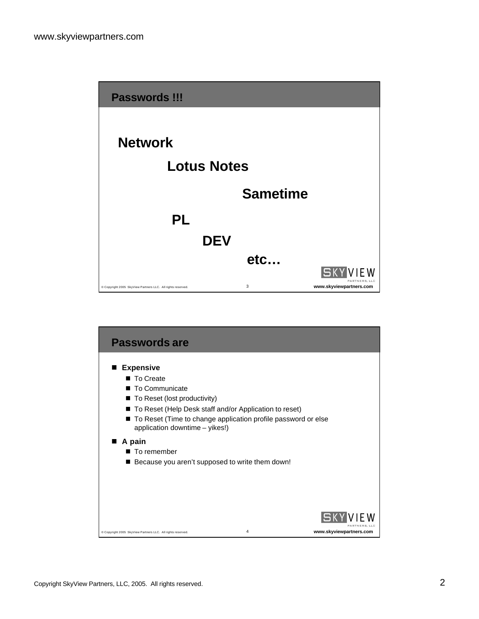

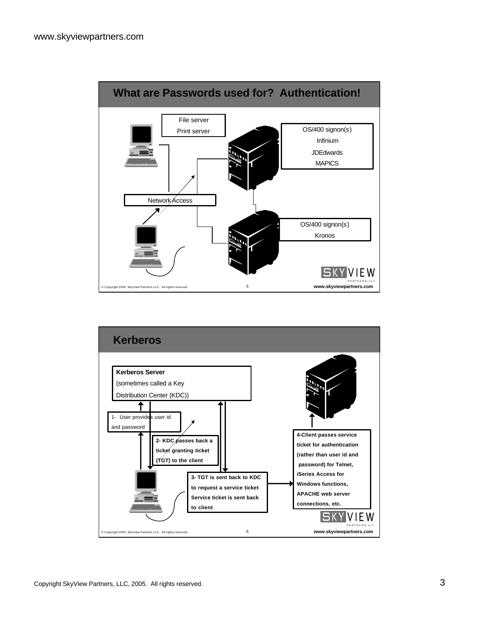

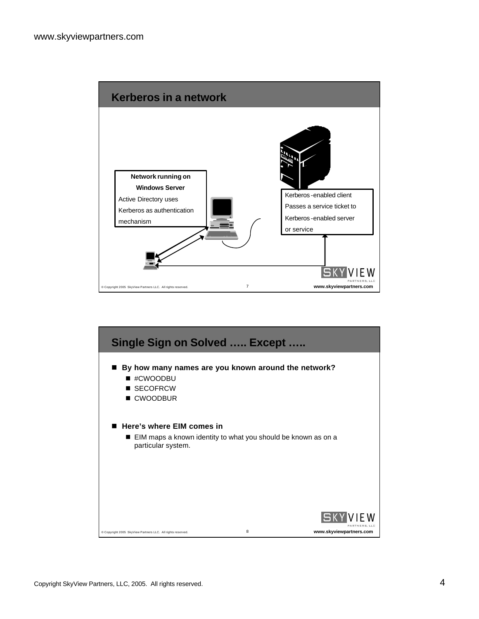

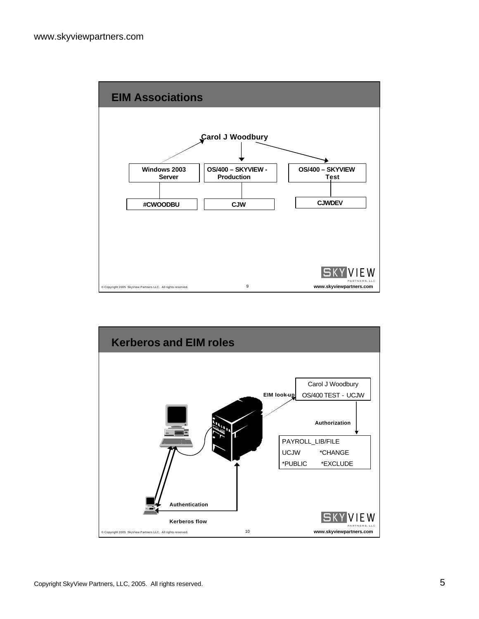

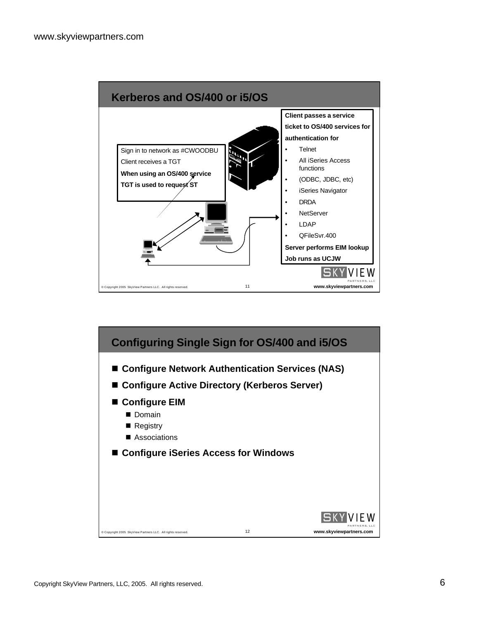

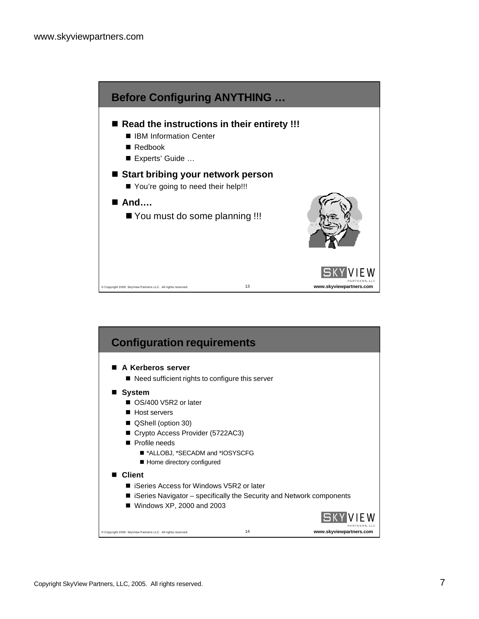

| <b>Configuration requirements</b>                                    |    |                         |
|----------------------------------------------------------------------|----|-------------------------|
| A Kerberos server                                                    |    |                         |
| ■ Need sufficient rights to configure this server                    |    |                         |
| <b>System</b>                                                        |    |                         |
| OS/400 V5R2 or later                                                 |    |                         |
| Host servers                                                         |    |                         |
| ■ QShell (option 30)                                                 |    |                         |
| Crypto Access Provider (5722AC3)                                     |    |                         |
| $\blacksquare$ Profile needs                                         |    |                         |
| ■ *ALLOBJ, *SECADM and *IOSYSCFG                                     |    |                         |
| ■ Home directory configured                                          |    |                         |
| <b>Client</b>                                                        |    |                         |
| ■ iSeries Access for Windows V5R2 or later                           |    |                         |
| iSeries Navigator – specifically the Security and Network components |    |                         |
| $\blacksquare$ Windows XP, 2000 and 2003                             |    |                         |
|                                                                      |    |                         |
| Copyright 2005 SkyView Partners LLC. All rights reserved.            | 14 | www.skyviewpartners.com |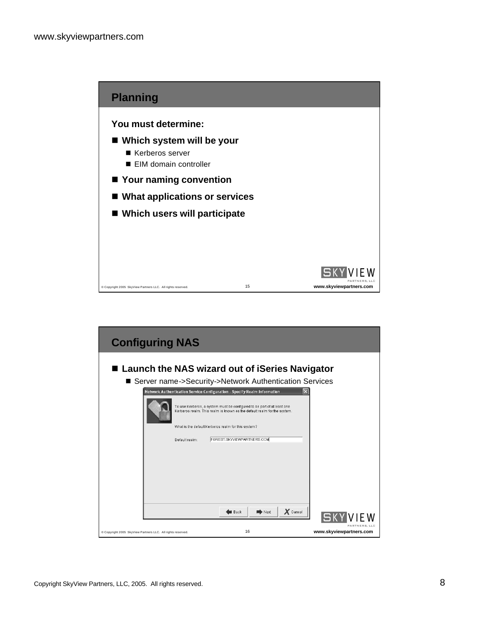

| <b>Configuring NAS</b>                                                                                                                                                                                                                             |                         |
|----------------------------------------------------------------------------------------------------------------------------------------------------------------------------------------------------------------------------------------------------|-------------------------|
| ■ Launch the NAS wizard out of iSeries Navigator<br>■ Server name->Security->Network Authentication Services                                                                                                                                       |                         |
| $\vert x \vert$<br>Network Authentication Service Configuration - Specify Realm Information<br>To use Kerberos, a system must be configured to be part of at least one<br>Kerberos realm. This realm is known as the default realm for the system. |                         |
| What is the default Kerberos realm for this system?<br>FOREST.SKYVIEWPARTNERS.COM<br>Default realm:                                                                                                                                                |                         |
| $X$ Cancel<br>$\Rightarrow$ Next<br><b>Back</b>                                                                                                                                                                                                    |                         |
| 16<br>Copyright 2005 SkyView Partners LLC. All rights reserved.                                                                                                                                                                                    | www.skyviewpartners.com |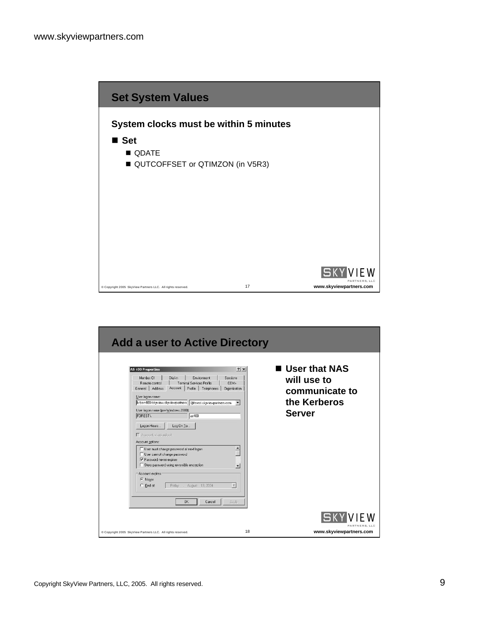

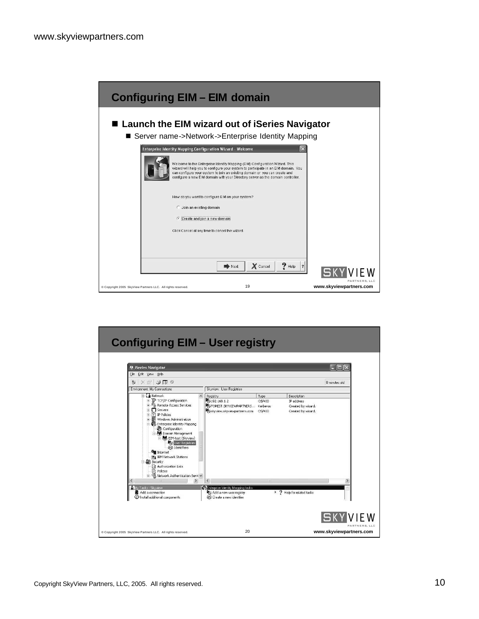| <b>Configuring EIM - EIM domain</b>                                                                                                                                                                                                                                                                                                                                                                                                |                         |
|------------------------------------------------------------------------------------------------------------------------------------------------------------------------------------------------------------------------------------------------------------------------------------------------------------------------------------------------------------------------------------------------------------------------------------|-------------------------|
| ■ Launch the EIM wizard out of iSeries Navigator<br>■ Server name->Network->Enterprise Identity Mapping                                                                                                                                                                                                                                                                                                                            |                         |
| $\overline{\mathsf{x}}$<br><b>Enterprise Identity Mapping Configuration Wizard - Welcome</b><br>Welcome to the Enterprise Identity Mapping (EIM) Configuration Wizard. This<br>wizard will help you to configure your system to participate in an EIM domain. You<br>can configure your system to join an existing domain or you can create and<br>configure a new EIM domain with your Directory server as the domain controller. |                         |
| How do you want to configure EIM on your system?<br>C Join an existing domain<br>Create and join a new domain<br>Click Cancel at any time to cancel the wizard.                                                                                                                                                                                                                                                                    |                         |
| $P$ Help<br>X Cancel<br>Next<br>$\overline{\mathbf{?}}$<br>19<br>Copyright 2005 SkyView Partners LLC. All rights reserved.                                                                                                                                                                                                                                                                                                         | www.skyviewpartners.com |

| <b>Configuring EIM - User registry</b>                                                                                                                                                                                                                                                                                                                                                                                                                                                                                                                                                                                      |                                                                                                                                                                                                                                                        |                                              |                                                                                               |
|-----------------------------------------------------------------------------------------------------------------------------------------------------------------------------------------------------------------------------------------------------------------------------------------------------------------------------------------------------------------------------------------------------------------------------------------------------------------------------------------------------------------------------------------------------------------------------------------------------------------------------|--------------------------------------------------------------------------------------------------------------------------------------------------------------------------------------------------------------------------------------------------------|----------------------------------------------|-----------------------------------------------------------------------------------------------|
| Series Navigator<br>File Edit View Help<br>$\times$ 3 $\circ$ 5 $\circ$<br>Ø0.                                                                                                                                                                                                                                                                                                                                                                                                                                                                                                                                              |                                                                                                                                                                                                                                                        |                                              | m<br>0 minutes old                                                                            |
| <b>Environment: My Connections</b><br>E La Network<br>TCP/IP Configuration<br>Ė<br>Ė<br>Remote Access Services<br>Ė<br><b>门</b> Servers<br>ि IP Policies<br>Ė<br>Ė<br>朙<br>Windows Administration<br>E Co Enterprise Identity Mapping<br>Configuration<br>白 8 Domain Management<br>El EIM-test (Skyview)<br><b>Lan</b> User Registries<br>@ Identifiers<br><b>Guy Internet</b><br>图 IBM Network Stations<br>□ # Security<br>a Authorization Lists<br><b>Ph</b> Policies<br>- VO Network Authentication Servi V<br>$\rightarrow$<br>≺<br>A Mu Tasks - Skuview<br>Add a connection<br>$\oslash$ Install additional components | Skyview: User Registries<br>Registry<br>16192.168.1.2<br>WOFOREST.SKYVIEWPARTNERS Kerberos<br>Boskyview.skyviewpartners.com 05/400<br><b>Calenterprise Identity Mapping tasks</b><br><sup>解</sup> Add a new user registry<br>@ Create a new identifier | Type<br>05/400<br>> ? Help for related tasks | <b>Description</b><br>IP address<br>Created by wizard.<br>Created by wizard.<br>$\rightarrow$ |
| Copyright 2005 SkyView Partners LLC. All rights reserved.                                                                                                                                                                                                                                                                                                                                                                                                                                                                                                                                                                   | 20                                                                                                                                                                                                                                                     |                                              | V I E W<br>PARTNERS, LLC<br>www.skyviewpartners.com                                           |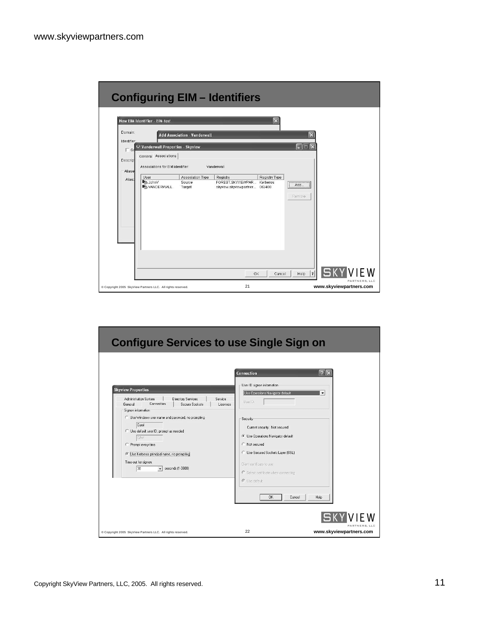|                                       |                                                                    |                                     | <b>Configuring EIM - Identifiers</b>                            |                                            |                                          |
|---------------------------------------|--------------------------------------------------------------------|-------------------------------------|-----------------------------------------------------------------|--------------------------------------------|------------------------------------------|
| Domain:                               | New EIM Identifier - EIM-test                                      | <b>Add Association - Vanderwall</b> | $\times$                                                        | $\times$                                   |                                          |
| Identifier<br>$\Gamma$ Gd<br>Descript | <b>140 Vanderwall Properties - Skyview</b><br>General Associations |                                     |                                                                 | $\mathbb{I}$ $\times$<br>H<br>圖            |                                          |
| -Aliase<br>Alias:                     | Associations for EIM identifier:<br>User                           | Association Type                    | Vanderwall<br>Registry Type<br>Registry                         |                                            |                                          |
|                                       | <b>R</b> <sub>0</sub> JohnV<br><b>M</b> <sub>16</sub> VANDERWALL   | Source<br>Target                    | FOREST.SKYVIEWPAR<br>Kerherns<br>skwiew.skwiewpartner<br>OS/400 | Add.,<br>Remove                            |                                          |
|                                       |                                                                    |                                     |                                                                 |                                            |                                          |
|                                       |                                                                    |                                     |                                                                 |                                            |                                          |
|                                       |                                                                    |                                     |                                                                 |                                            |                                          |
|                                       |                                                                    |                                     |                                                                 |                                            | Sk                                       |
|                                       | Copyright 2005 SkyView Partners LLC. All rights reserved.          |                                     | 0K<br>21                                                        | $\overline{\phantom{a}}$<br>Cancel<br>Help | PARTNERS, LLC<br>www.skyviewpartners.com |

| <b>Configure Services to use Single Sign on</b>                                                                                                                                                                                                                                                                                                                                                                                         |                                                                                                                                                                                                                                                                                                                                                            |                                                                     |
|-----------------------------------------------------------------------------------------------------------------------------------------------------------------------------------------------------------------------------------------------------------------------------------------------------------------------------------------------------------------------------------------------------------------------------------------|------------------------------------------------------------------------------------------------------------------------------------------------------------------------------------------------------------------------------------------------------------------------------------------------------------------------------------------------------------|---------------------------------------------------------------------|
| <b>Skyview Properties</b><br>Administration System<br><b>Directory Services</b><br>Service<br>Connection<br>Secure Sockets<br>General<br>Licenses<br>Signon information<br>C Use Windows user name and password, no prompting<br>Carol<br>C Use default user ID, prompt as needed<br><b>CJW</b><br>C Prompt every time<br>( Use Kerberos principal name, no prompting<br>Time-out for signon:<br>30<br>seconds (1-3600)<br>$\mathbf{r}$ | Connection<br>User ID signon information<br>Use Operations Navigator default<br>User ID:<br>Security<br>Current security: Not secured<br><b>C</b> Use Operations Navigator default<br>C Not secured<br><b>C</b> Use Secured Sockets Laver (SSL)<br>Client certificate to use:<br>$C$ Select certificate when connecting<br>G I Ise default<br>0K<br>Cancel | $  2   \times$<br>$\overline{\phantom{0}}$<br>Help<br>PARTNERS, LLC |
| Copyright 2005 SkyView Partners LLC. All rights reserved.                                                                                                                                                                                                                                                                                                                                                                               | 22                                                                                                                                                                                                                                                                                                                                                         | www.skyviewpartners.com                                             |